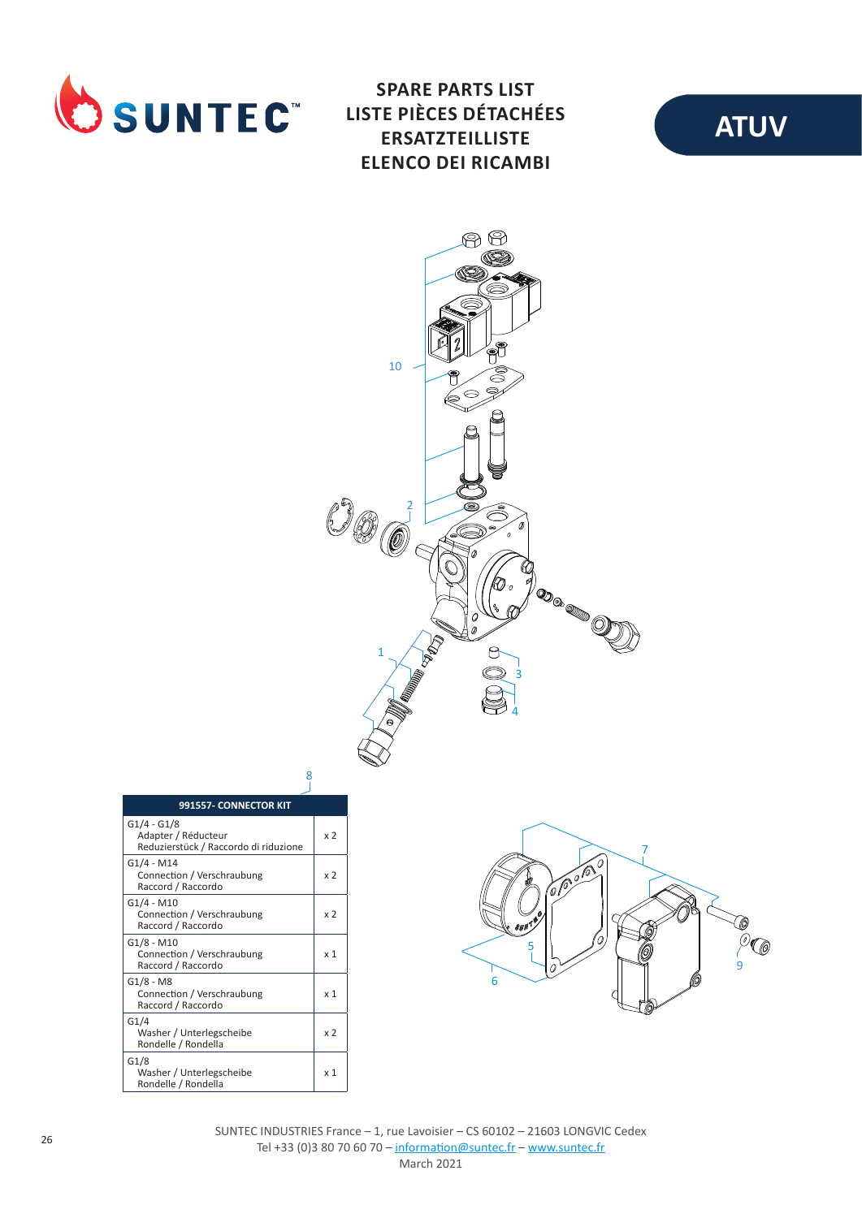

**SPARE PARTS LIST LISTE PIÈCES DÉTACHÉES ERSATZTEILLISTE ELENCO DEI RICAMBI**





| 991557- CONNECTOR KIT                                                         |                |
|-------------------------------------------------------------------------------|----------------|
| $G1/4 - G1/8$<br>Adapter / Réducteur<br>Reduzierstück / Raccordo di riduzione | x <sub>2</sub> |
| G1/4 - M14<br>Connection / Verschraubung<br>Raccord / Raccordo                | x 2            |
| G1/4 - M10<br>Connection / Verschraubung<br>Raccord / Raccordo                | x <sub>2</sub> |
| G1/8 - M10<br>Connection / Verschraubung<br>Raccord / Raccordo                | x <sub>1</sub> |
| G1/8 - M8<br>Connection / Verschraubung<br>Raccord / Raccordo                 | x <sub>1</sub> |
| G1/4<br>Washer / Unterlegscheibe<br>Rondelle / Rondella                       | x 2            |
| G1/8<br>Washer / Unterlegscheibe<br>Rondelle / Rondella                       | x <sub>1</sub> |